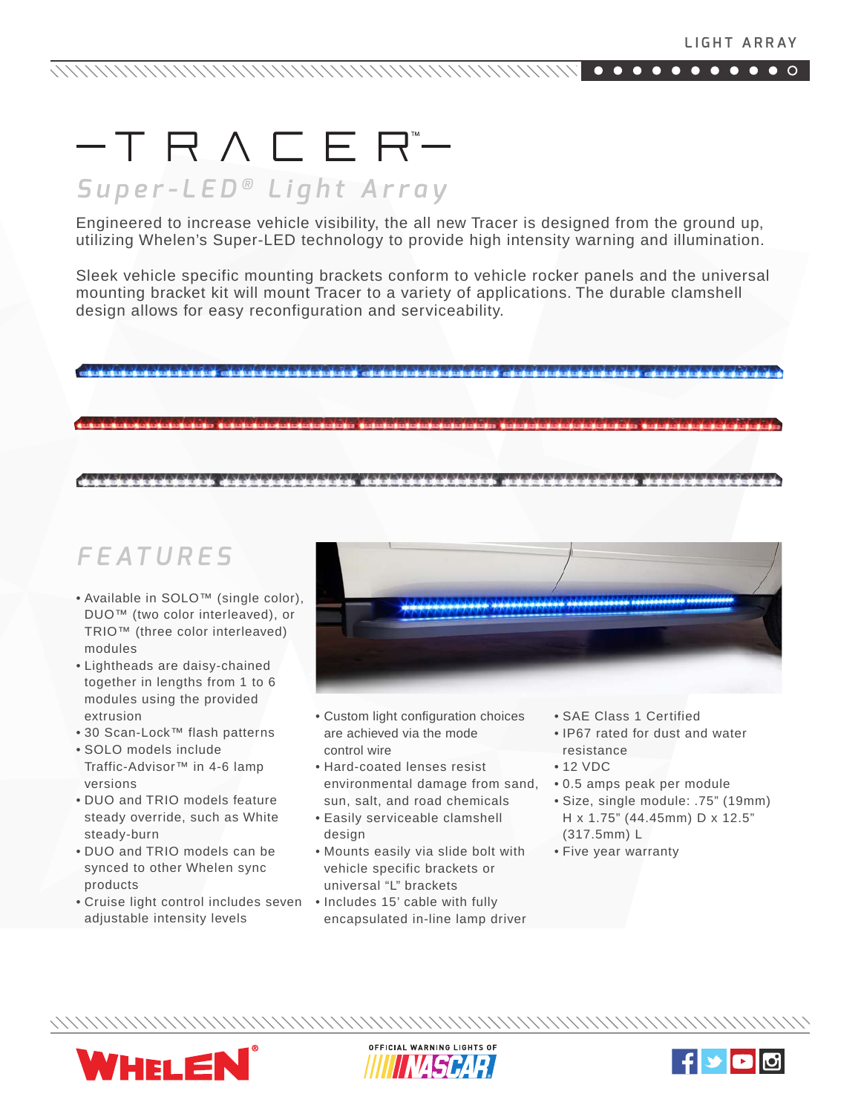## $-TR\wedge CER -$

## *Super-LED ® Light Array*

Engineered to increase vehicle visibility, the all new Tracer is designed from the ground up, utilizing Whelen's Super-LED technology to provide high intensity warning and illumination.

Sleek vehicle specific mounting brackets conform to vehicle rocker panels and the universal mounting bracket kit will mount Tracer to a variety of applications. The durable clamshell design allows for easy reconfiguration and serviceability.

## *FEATURES*

- Available in SOLO™ (single color), DUO™ (two color interleaved), or TRIO™ (three color interleaved) modules
- Lightheads are daisy-chained together in lengths from 1 to 6 modules using the provided extrusion
- 30 Scan-Lock™ flash patterns
- SOLO models include Traffic-Advisor™ in 4-6 lamp versions
- DUO and TRIO models feature steady override, such as White steady-burn
- DUO and TRIO models can be synced to other Whelen sync products
- Cruise light control includes seven Includes 15' cable with fully adjustable intensity levels



- Custom light configuration choices are achieved via the mode control wire
- Hard-coated lenses resist environmental damage from sand, sun, salt, and road chemicals
- Easily serviceable clamshell design
- Mounts easily via slide bolt with vehicle specific brackets or universal "L" brackets
- encapsulated in-line lamp driver
- SAE Class 1 Certified
- IP67 rated for dust and water resistance
- 12 VDC
- 0.5 amps peak per module
- Size, single module: .75" (19mm) H x 1.75" (44.45mm) D x 12.5" (317.5mm) L
- Five year warranty